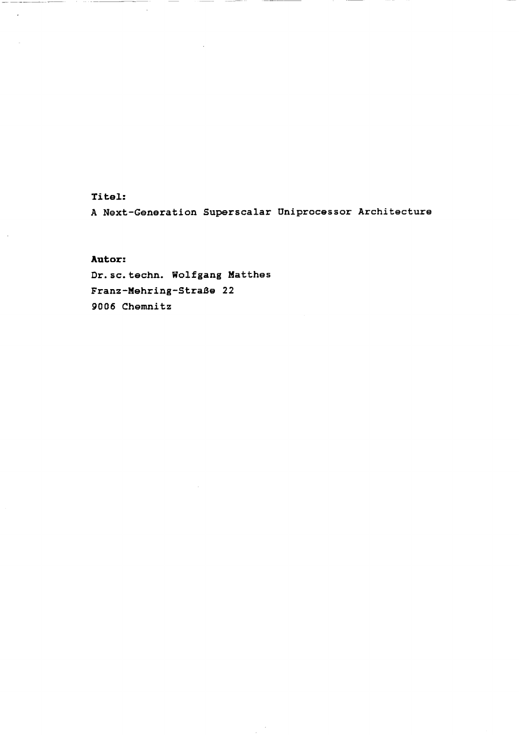### Titel:

 $\cdots \cdots \cdots \cdots$ 

 $\overline{\phantom{a}}$ 

A Next-Generation Superscalar üniprocessor Architecture

#### **Autor:**

Dr.so.techn. Wolfgang Matthes Franz-Mehring-Straße 22 9006 Chemnitz

 $\sim$   $-$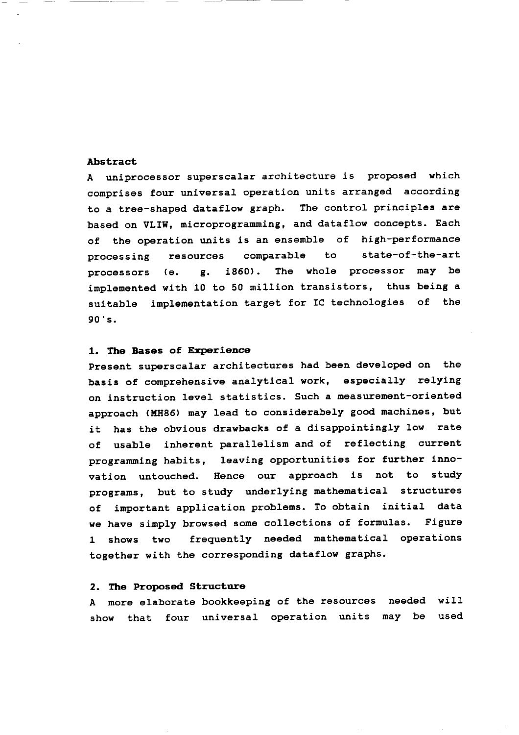#### **Abstract**

A uniprocessor superscalar architecture is proposed which comprises four universal Operation units arranged according to a tree-shaped dataflow graph. The control principles are based on VLIW, microprogramming, and dataflow concepts. Each of the Operation units is an ensemble of high-performance processing resources comparable to state-of-the-art processors (e. g. i860). The whole processor may be implemented with 10 to 50 million transistors, thus being a suitable Implementation target for IC technologies of the 90's.

#### **1. The Bases of Experience**

Present superscalar architectures had been developed on the basis of comprehensive analytical work, especially relying on instruction level statistics. Such a measurement-oriented approach (MH86) may lead to considerabely good machines, but it has the obvious drawbacks of a disappointingly low rate of usable inherent parallelism and of reflecting current Programming habits, leaving opportunities for further innovation untouched. Hence our approach is not to study programs, but to study underlying mathematical structures of important application problems. To obtain initial data we have simply browsed some collections of formulas. Figure l shows two frequently needed mathematical operations together with the corresponding dataflow graphs.

#### **2. The Proposed Structure**

A more elaborate bookkeeping of the resources needed will show that four universal Operation units may be used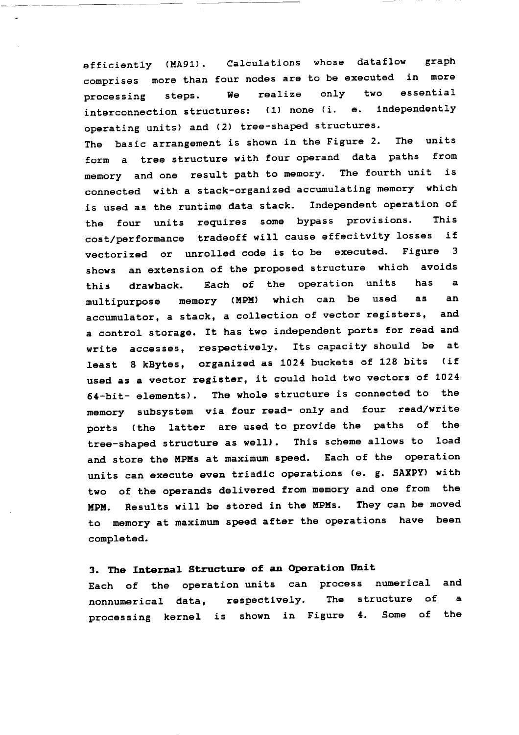efficiently (MA91). Calculations whose dataflow graph comprises more than four nodes are to be executed in more processing steps. We realize only two essential interconnection structures: (1) none (i. e. independently operating units) and (2) tree-shaped structures. The basic arrangement is shown in the Figure 2. The units form a tree structure with four Operand data paths from memory and one result path to memory. The fourth unit is connected with a stack-organized accumulating memory which is used as the runtime data stack. Independent operation of the four units requires some bypass provisions. This cost/performance tradeoff will cause effecitvity losses if vectorized or unrolled code is to be executed. Figure 3 shows an extension of the proposed structure which avoids this drawback. Each of the Operation units has a multipurpose memory (MPM) which can be used äs an accumulator, a Stack, a collection of vector registers, and a control storage. It has two independent ports for read and write accesses, respectively. Its capacity should be at least 8 kBytes, organized äs 1024 buckets of 128 bits (if used äs a vector register, it could hold two vectors of 1024 64-bit- elements). The whole structure is connected to the memory Subsystem via four read- only and four read/write ports (the latter are used to provide the paths of the tree-shaped structure as well). This scheme allows to load and store the MPMs at maximum speed. Each of the operation units can execute even triadic operations (e. g. SAXPY) with two of the operands delivered from memory and one from the MPM. Results will be stored in the MPMs. They can be moved to memory at maximum speed after the operations have been completed.

## **3. The Internal Structure of an Operation Onit**

Each of the Operation units can process numerical and nonnumerical data, respectively. The structure of a processing kernel is shown in Figure 4. Some of the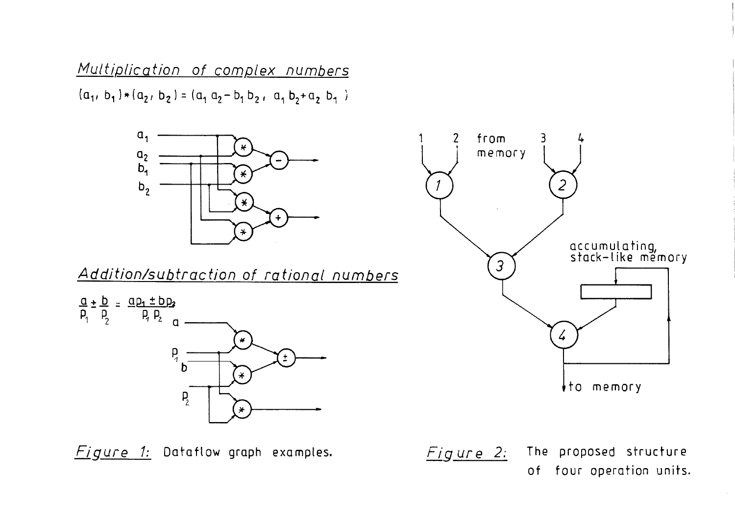Multiplication of complex numbers  $(a_1, b_1) * (a_2, b_2) = (a_1 a_2 - b_1 b_2, a_1 b_2 + a_2 b_1)$ 



Addition/subtraction of rational numbers



Figure 1: Dataflow graph examples.



 $Figure 2:$  The proposed structure

of four Operation units.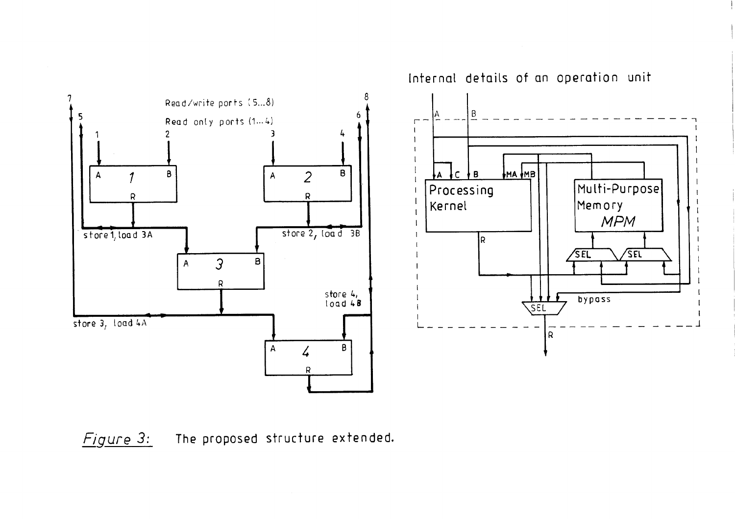8 Read/write ports (5...8) 6 Read only ports (1...4)  $\mathcal{P}$  $A$  2  $\mathbf{B}$ A 1 BRRstore 2, Ioa d<sup>3B</sup> store 1, load 3A 3 B $\overline{A}$ Rstore 4,<br>load 4<mark>8</mark> store 3, load 4A  $\mathsf{B}$  $A \sim 4$ R

Infernal details of an Operation unit $\vert$  B  $\Gamma$  $\mathbf{I}$  $\overline{c}$ **B** MA MB Multi-PurposeProcessingKernelMemory MPMIR  $\sqrt{\mathsf{SFL}}$  $\sqrt{\mathsf{SEL}}$  $\rightarrow$   $\mid$ bypass **SEL**  $\overline{\phantom{0}}$  ${\sf R}$ 

 $Figure 3:$  The proposed structure extended.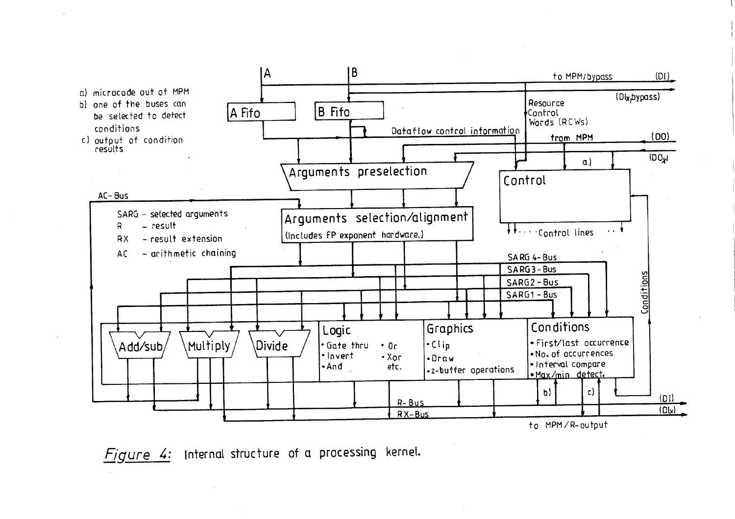

Figure 4: Internal structure of a processing kernel.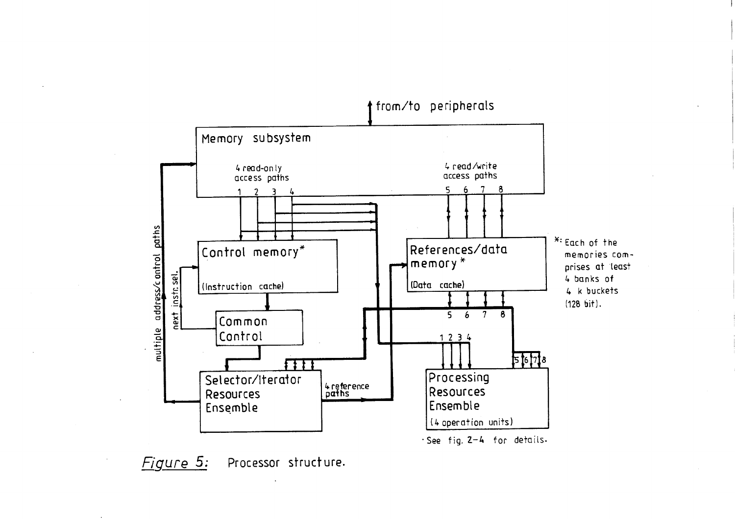

Figure 5: Processor structure.